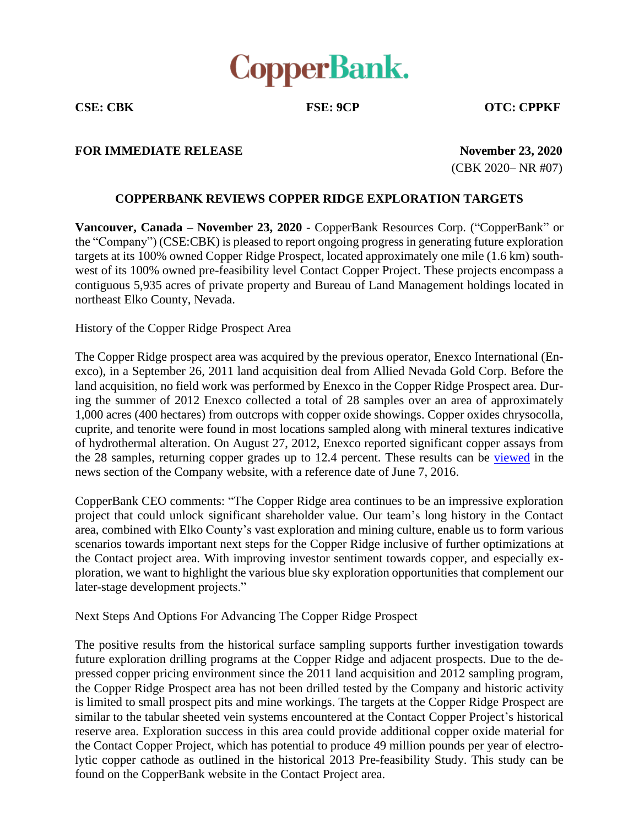

**CSE: CBK FSE: 9CP OTC: CPPKF**

## **FOR IMMEDIATE RELEASE November 23, 2020**

(CBK 2020– NR #07)

## **COPPERBANK REVIEWS COPPER RIDGE EXPLORATION TARGETS**

**Vancouver, Canada – November 23, 2020** - CopperBank Resources Corp. ("CopperBank" or the "Company") (CSE:CBK) is pleased to report ongoing progress in generating future exploration targets at its 100% owned Copper Ridge Prospect, located approximately one mile (1.6 km) southwest of its 100% owned pre-feasibility level Contact Copper Project. These projects encompass a contiguous 5,935 acres of private property and Bureau of Land Management holdings located in northeast Elko County, Nevada.

History of the Copper Ridge Prospect Area

The Copper Ridge prospect area was acquired by the previous operator, Enexco International (Enexco), in a September 26, 2011 land acquisition deal from Allied Nevada Gold Corp. Before the land acquisition, no field work was performed by Enexco in the Copper Ridge Prospect area. During the summer of 2012 Enexco collected a total of 28 samples over an area of approximately 1,000 acres (400 hectares) from outcrops with copper oxide showings. Copper oxides chrysocolla, cuprite, and tenorite were found in most locations sampled along with mineral textures indicative of hydrothermal alteration. On August 27, 2012, Enexco reported significant copper assays from the 28 samples, returning copper grades up to 12.4 percent. These results can be [viewed](https://www.copperbankcorp.com/_resources/news/2016/nr_20160607.pdf) in the news section of the Company website, with a reference date of June 7, 2016.

CopperBank CEO comments: "The Copper Ridge area continues to be an impressive exploration project that could unlock significant shareholder value. Our team's long history in the Contact area, combined with Elko County's vast exploration and mining culture, enable us to form various scenarios towards important next steps for the Copper Ridge inclusive of further optimizations at the Contact project area. With improving investor sentiment towards copper, and especially exploration, we want to highlight the various blue sky exploration opportunities that complement our later-stage development projects."

Next Steps And Options For Advancing The Copper Ridge Prospect

The positive results from the historical surface sampling supports further investigation towards future exploration drilling programs at the Copper Ridge and adjacent prospects. Due to the depressed copper pricing environment since the 2011 land acquisition and 2012 sampling program, the Copper Ridge Prospect area has not been drilled tested by the Company and historic activity is limited to small prospect pits and mine workings. The targets at the Copper Ridge Prospect are similar to the tabular sheeted vein systems encountered at the Contact Copper Project's historical reserve area. Exploration success in this area could provide additional copper oxide material for the Contact Copper Project, which has potential to produce 49 million pounds per year of electrolytic copper cathode as outlined in the historical 2013 Pre-feasibility Study. This study can be found on the CopperBank website in the Contact Project area.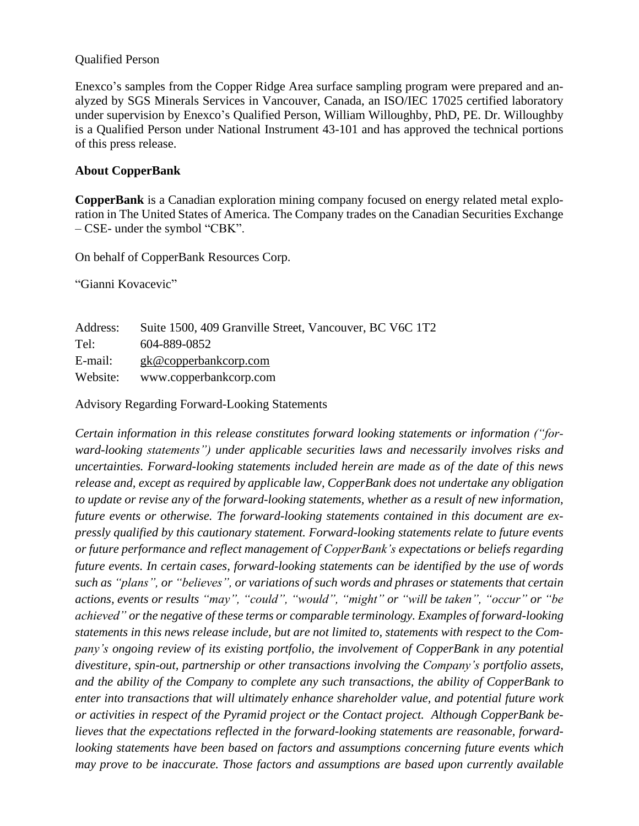## Qualified Person

Enexco's samples from the Copper Ridge Area surface sampling program were prepared and analyzed by SGS Minerals Services in Vancouver, Canada, an ISO/IEC 17025 certified laboratory under supervision by Enexco's Qualified Person, William Willoughby, PhD, PE. Dr. Willoughby is a Qualified Person under National Instrument 43-101 and has approved the technical portions of this press release.

## **About CopperBank**

**CopperBank** is a Canadian exploration mining company focused on energy related metal exploration in The United States of America. The Company trades on the Canadian Securities Exchange – CSE- under the symbol "CBK".

On behalf of CopperBank Resources Corp.

"Gianni Kovacevic"

| Address: | Suite 1500, 409 Granville Street, Vancouver, BC V6C 1T2 |
|----------|---------------------------------------------------------|
| Tel:     | 604-889-0852                                            |
| E-mail:  | $g k@$ copperbankcorp.com                               |
| Website: | www.copperbankcorp.com                                  |

Advisory Regarding Forward-Looking Statements

*Certain information in this release constitutes forward looking statements or information ("forward-looking statements") under applicable securities laws and necessarily involves risks and uncertainties. Forward-looking statements included herein are made as of the date of this news release and, except as required by applicable law, CopperBank does not undertake any obligation to update or revise any of the forward-looking statements, whether as a result of new information, future events or otherwise. The forward-looking statements contained in this document are expressly qualified by this cautionary statement. Forward-looking statements relate to future events or future performance and reflect management of CopperBank's expectations or beliefs regarding future events. In certain cases, forward-looking statements can be identified by the use of words such as "plans", or "believes", or variations of such words and phrases or statements that certain actions, events or results "may", "could", "would", "might" or "will be taken", "occur" or "be achieved" or the negative of these terms or comparable terminology. Examples of forward-looking statements in this news release include, but are not limited to, statements with respect to the Company's ongoing review of its existing portfolio, the involvement of CopperBank in any potential divestiture, spin-out, partnership or other transactions involving the Company's portfolio assets, and the ability of the Company to complete any such transactions, the ability of CopperBank to enter into transactions that will ultimately enhance shareholder value, and potential future work or activities in respect of the Pyramid project or the Contact project. Although CopperBank believes that the expectations reflected in the forward-looking statements are reasonable, forwardlooking statements have been based on factors and assumptions concerning future events which may prove to be inaccurate. Those factors and assumptions are based upon currently available*